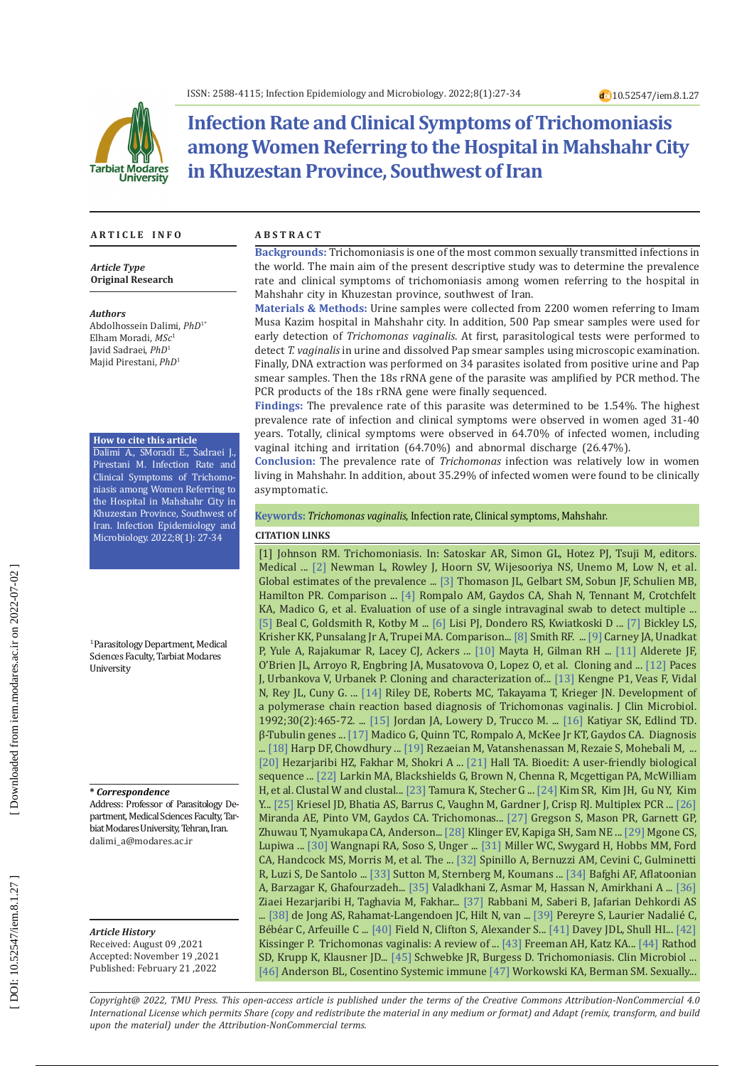

# **Infection Rate and Clinical Symptoms of Trichomoniasis among Women Referring to the Hospital in Mahshahr City in Khuzestan Province, Southwest of Iran**

#### **A R T I C L E I N F O A B S T R A C T**

*Article Type* **Original Research**

*Authors* Abdolhossein Dalimi, *PhD* 1 \* Elham Moradi, *MSc* 1 Javid Sadraei, *PhD* 1 Majid Pirestani, *PhD* 1

#### **How to cite this article**

Dalimi A., SMoradi E., Sadraei J., Pirestani M. Infection Rate and Clinical Symptoms of Trichomo niasis among Women Referring to the Hospital in Mahshahr City in Khuzestan Province, Southwest of Iran. Infection Epidemiology and Microbiology. 2022;8(1): 27-34

1 Parasitology Department, Medical Sciences Faculty, Tarbiat Modares University

**\*** *Correspondence*

Address: Professor of Parasitology De partment, Medical Sciences Faculty, Tar biat Modares University, Tehran, Iran. [dalimi\\_a@modares.ac.ir](mailto:dalimi_a@modares.ac.ir)

*Article History* Received: August 09 ,2021 Accepted: November 19 ,2021 Published: February 21 ,2022

**Backgrounds:** Trichomoniasis is one of the most common sexually transmitted infections in the world. The main aim of the present descriptive study was to determine the prevalence rate and clinical symptoms of trichomoniasis among women referring to the hospital in Mahshahr city in Khuzestan province, southwest of Iran.

**Materials & Methods:** Urine samples were collected from 2200 women referring to Imam Musa Kazim hospital in Mahshahr city. In addition, 500 Pap smear samples were used for early detection of *Trichomonas vaginalis*. At first, parasitological tests were performed to detect *T. vaginalis* in urine and dissolved Pap smear samples using microscopic examination. Finally, DNA extraction was performed on 34 parasites isolated from positive urine and Pap smear samples. Then the 18s rRNA gene of the parasite was amplified by PCR method. The PCR products of the 18s rRNA gene were finally sequenced.

**Findings:** The prevalence rate of this parasite was determined to be 1.54%. The highest prevalence rate of infection and clinical symptoms were observed in women aged 31-40 years. Totally, clinical symptoms were observed in 64.70% of infected women, including vaginal itching and irritation (64.70%) and abnormal discharge (26.47%).

**Conclusion:** The prevalence rate of *Trichomonas* infection was relatively low in women living in Mahshahr. In addition, about 35.29% of infected women were found to be clinically asymptomatic.

**Keywords:** *Trichomonas vaginalis*, Infection rate, Clinical symptoms, Mahshahr.

#### **CITATION LINKS**

[1] Johnson RM. Trichomoniasis. In: Satoskar AR, Simon GL, Hotez PJ, Tsuji M, editors. Medical ... [\[2\]](https://journals.plos.org/plosone/article?id=10.1371/journal.pone.0143304) Newman L, Rowley J, Hoorn SV, Wijesooriya NS, Unemo M, Low N, et al. Global estimates of the prevalence ... [\[3\]](https://journals.asm.org/doi/abs/10.1128/jcm.26.9.1869-1870.1988) Thomason JL, Gelbart SM, Sobun JF, Schulien MB, Hamilton PR. Comparison ... [\[4\]](https://academic.oup.com/cid/article-abstract/33/9/1455/412625) Rompalo AM, Gaydos CA, Shah N, Tennant M, Crotchfelt KA, Madico G, et al. Evaluation of use of a single intravaginal swab to detect multiple ... [\[5\]](https://journals.asm.org/doi/abs/10.1128/jcm.30.9.2265-2268.1992) Beal C, Goldsmith R, Kotby M ... [\[6\]](https://journals.asm.org/doi/abs/10.1128/jcm.26.9.1684-1686.1988) Lisi PJ, Dondero RS, Kwiatkoski D ... [\[7\]](https://www.jstor.org/stable/44964273) Bickley LS, Krisher KK, Punsalang Jr A, Trupei MA. Comparison... [\[8\]](https://journals.asm.org/doi/abs/10.1128/jcm.24.6.1107-1108.1986) Smith RF. ... [\[9\]](https://jcp.bmj.com/content/41/7/806.abstract) Carney JA, Unadkat P, Yule A, Rajakumar R, Lacey CJ, Ackers ... [\[10\]](https://journals.asm.org/doi/abs/10.1128/jcm.38.7.2683-2687.2000) Mayta H, Gilman RH ... [\[11\]](https://onlinelibrary.wiley.com/doi/abs/10.1111/j.1365-2958.1995.mmi_17010069.x) Alderete JF, O'Brien JL, Arroyo R, Engbring JA, Musatovova O, Lopez O, et al. Cloning and ... [\[12\] P](https://www.sciencedirect.com/science/article/pii/0166685192901162)aces J, Urbankova V, Urbanek P. Cloning and characterization of... [\[13\]](https://pubmed.ncbi.nlm.nih.gov/7812190/) Kengne P1, Veas F, Vidal N, Rey JL, Cuny G. ... [\[14\]](https://journals.asm.org/doi/abs/10.1128/jcm.30.2.465-472.1992) Riley DE, Roberts MC, Takayama T, Krieger JN. Development of a polymerase chain reaction based diagnosis of Trichomonas vaginalis. J Clin Microbiol. 1992;30(2):465-72. ... [\[15\]](https://journals.asm.org/doi/abs/10.1128/JCM.39.11.3819-3822.2001) Jordan JA, Lowery D, Trucco M. ... [\[16\]](https://www.sciencedirect.com/science/article/pii/0166685194901325) Katiyar SK, Edlind TD. β-Tubulin genes ... [\[17\]](https://pubmed.ncbi.nlm.nih.gov/9774566/) Madico G, Quinn TC, Rompalo A, McKee Jr KT, Gaydos CA. Diagnosis ... [\[18\]](https://www.ncbi.nlm.nih.gov/pmc/articles/PMC4888369/) Harp DF, Chowdhury ... [\[19\]](https://www.sid.ir/en/Journal/ViewPaper.aspx?ID=168433) Rezaeian M, Vatanshenassan M, Rezaie S, Mohebali M, ... [\[20\]](https://idp.springer.com/authorize/casa?redirect_uri=https://link.springer.com/article/10.1007/s00436-015-4393-3&casa_token=hiIQEmOpw3wAAAAA:OfHn6jjLP766zjxaZllU_dFKZmpvl-3dLcj2TyUI4cXABKqqIOF6nwFWBaVsj4hqK8nsZbebXygf5mK6-A) Hezarjaribi HZ, Fakhar M, Shokri A ... [\[21\]](https://ci.nii.ac.jp/naid/10030689140/) Hall TA. Bioedit: A user-friendly biological sequence ... [\[22\]](https://academic.oup.com/bioinformatics/article-abstract/23/21/2947/371686) Larkin MA, Blackshields G, Brown N, Chenna R, Mcgettigan PA, McWilliam H, et al. Clustal W and clustal... [\[23\]](https://academic.oup.com/mbe/article-abstract/30/12/2725/1017851) Tamura K, Stecher G ... [\[24\]](https://www.ncbi.nlm.nih.gov/pmc/articles/PMC4870969/) Kim SR, Kim JH, Gu NY, Kim Y... [\[25\]](https://pubmed.ncbi.nlm.nih.gov/26538551/) Kriesel JD, Bhatia AS, Barrus C, Vaughn M, Gardner J, Crisp RJ. Multiplex PCR ... [\[26\]](https://www.scielo.br/j/bjid/a/hGSwjG5BmVnnNpPVj7SFHLc/?lang=en&format=html) Miranda AE, Pinto VM, Gaydos CA. Trichomonas... [\[27\]](https://pubmed.ncbi.nlm.nih.gov/11231873/) Gregson S, Mason PR, Garnett GP, Zhuwau T, Nyamukapa CA, Anderson... [\[28\]](https://www.jstor.org/stable/44969151) Klinger EV, Kapiga SH, Sam NE ... [\[29\]](https://journals.lww.com/stdjournal/fulltext/2002/12000/high_prevalence_of_neisseria_gonorrhoeae_and.7.aspx) Mgone CS, Lupiwa ... [\[30\]](https://sti.bmj.com/content/91/3/194.1.short) Wangnapi RA, Soso S, Unger ... [\[31\]](https://www.jstor.org/stable/44966192) Miller WC, Swygard H, Hobbs MM, Ford CA, Handcock MS, Morris M, et al. The ... [\[32\]](https://www.sciencedirect.com/science/article/pii/S0378512297000388) Spinillo A, Bernuzzi AM, Cevini C, Gulminetti R, Luzi S, De Santolo ... [\[33\]](https://academic.oup.com/cid/article-abstract/45/10/1319/277782) Sutton M, Sternberg M, Koumans ... [\[34\]](https://www.sid.ir/en/Journal/ViewPaper.aspx?ID=174727) Bafghi AF, Aflatoonian A, Barzagar K, Ghafourzadeh... [\[35\]](https://www.sid.ir/en/Journal/ViewPaper.aspx?ID=182523) Valadkhani Z, Asmar M, Hassan N, Amirkhani A ... [\[36\]](https://www.karger.com/Article/Abstract/369772) Ziaei Hezarjaribi H, Taghavia M, Fakhar... [\[37\]](http://journal.skums.ac.ir/browse.php?a_id=209&sid=1&slc_lang=en) Rabbani M, Saberi B, Jafarian Dehkordi AS [\[38\]](https://pubmed.ncbi.nlm.nih.gov/26199286/) de Jong AS, Rahamat-Langendoen JC, Hilt N, van ... [\[39\]](https://www.sciencedirect.com/science/article/pii/S1198743X16305493) Pereyre S, Laurier Nadalié C, Bébéar C, Arfeuille C ... [\[40\]](https://sti.bmj.com/content/94/3/226.short) Field N, Clifton S, Alexander S... [\[41\]](https://www.ncbi.nlm.nih.gov/pmc/articles/PMC5889114/) Davey JDL, Shull HI... [\[42\]](https://bmcinfectdis.biomedcentral.com/articles/10.1186/s12879-015-1055-0) Kissinger P. Trichomonas vaginalis: A review of ... [\[43\]](https://journals.lww.com/stdjournal/Fulltext/2010/03000/Comparative_Prevalence_of_Infection_With.7.aspx) Freeman AH, Katz KA... [\[44\]](https://www.ncbi.nlm.nih.gov/pmc/articles/pmc3156984/) Rathod SD, Krupp K, Klausner JD... [\[45\]](https://journals.asm.org/doi/abs/10.1128/CMR.17.4.794-803.2004) Schwebke JR, Burgess D. Trichomoniasis. Clin Microbiol ... [\[46\]](https://www.jstor.org/stable/44969232) Anderson BL, Cosentino Systemic immune [\[47\]](https://pubmed.ncbi.nlm.nih.gov/16888612/) Workowski KA, Berman SM. Sexually...

*Copyright@ 2022, TMU Press. This open-access article is published under the terms of the Creative Commons Attribution-NonCommercial 4.0 International License which permits Share (copy and redistribute the material in any medium or format) and Adapt (remix, transform, and build upon the material) under the Attribution-NonCommercial terms.*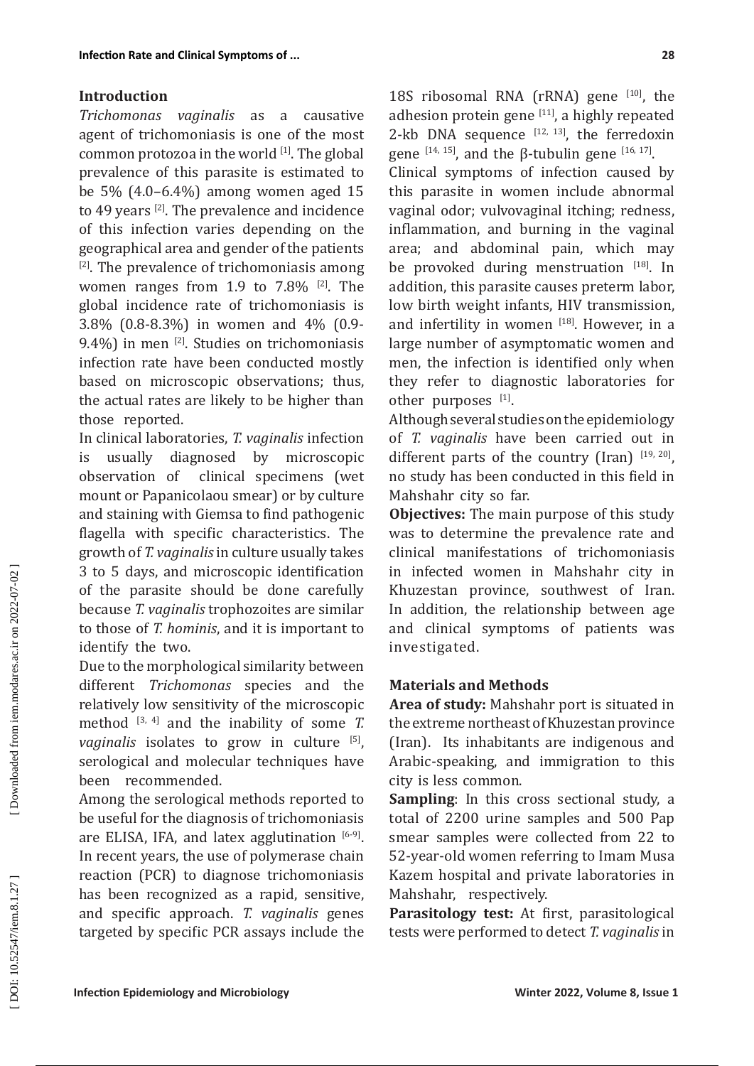# **Introduction**

*Trichomonas vaginalis* as a causative agent of trichomoniasis is one of the most common protozoa in the world [1]. The global prevalence of this parasite is estimated to be 5% (4.0–6.4%) among women aged 15 to 49 years [2]. The prevalence and incidence of this infection varies depending on the geographical area and gender of the patients  $[2]$ . The prevalence of trichomoniasis among women ranges from 1.9 to  $7.8\%$  <sup>[2]</sup>. The global incidence rate of trichomoniasis is 3.8% (0.8-8.3%) in women and 4% (0.9- 9.4%) in men <a>[2]</a>. Studies on trichomoniasis infection rate have been conducted mostly based on microscopic observations; thus, the actual rates are likely to be higher than those reported.

In clinical laboratories, *T. vaginalis* infection is usually diagnosed by microscopic<br>observation of clinical specimens (wet clinical specimens (wet mount or Papanicolaou smear) or by culture and staining with Giemsa to find pathogenic flagella with specific characteristics. The growth of *T. vaginalis* in culture usually takes 3 to 5 days, and microscopic identification of the parasite should be done carefully because *T. vaginalis* trophozoites are similar to those of *T. hominis*, and it is important to identify the two.

Due to the morphological similarity between different *Trichomonas* species and the relatively low sensitivity of the microscopic method  $[3, 4]$  and the inability of some *T*. *vaginalis* isolates to grow in culture [5], serological and molecular techniques have been recommended.

Among the serological methods reported to be useful for the diagnosis of trichomoniasis are ELISA, IFA, and latex agglutination  $[6-9]$ . In recent years, the use of polymerase chain reaction (PCR) to diagnose trichomoniasis has been recognized as a rapid, sensitive, and specific approach. *T. vaginalis* genes targeted by specific PCR assays include the 18S ribosomal RNA (rRNA) gene [10], the adhesion protein gene  $[11]$ , a highly repeated 2-kb DNA sequence  $[12, 13]$ , the ferredoxin gene  $[14, 15]$ , and the β-tubulin gene  $[16, 17]$ .

Clinical symptoms of infection caused by this parasite in women include abnormal vaginal odor; vulvovaginal itching; redness, inflammation, and burning in the vaginal area; and abdominal pain, which may be provoked during menstruation [18]. In addition, this parasite causes preterm labor, low birth weight infants, HIV transmission, and infertility in women  $[18]$ . However, in a large number of asymptomatic women and men, the infection is identified only when they refer to diagnostic laboratories for other purposes [1].

Although several studies on the epidemiology of *T. vaginalis* have been carried out in different parts of the country (Iran)  $[19, 20]$ , no study has been conducted in this field in Mahshahr city so far.

**Objectives:** The main purpose of this study was to determine the prevalence rate and clinical manifestations of trichomoniasis in infected women in Mahshahr city in Khuzestan province, southwest of Iran. In addition, the relationship between age and clinical symptoms of patients was investigated.

# **Materials and Methods**

**Area of study:** Mahshahr port is situated in the extreme northeast of Khuzestan province (Iran). Its inhabitants are indigenous and Arabic-speaking, and immigration to this city is less common.

**Sampling**: In this cross sectional study, a total of 2200 urine samples and 500 Pap smear samples were collected from 22 to 52-year-old women referring to Imam Musa Kazem hospital and private laboratories in Mahshahr, respectively.

**Parasitology test:** At first, parasitological tests were performed to detect *T. vaginalis* in

Downloaded from iem.modares.ac.ir on 2022-07-02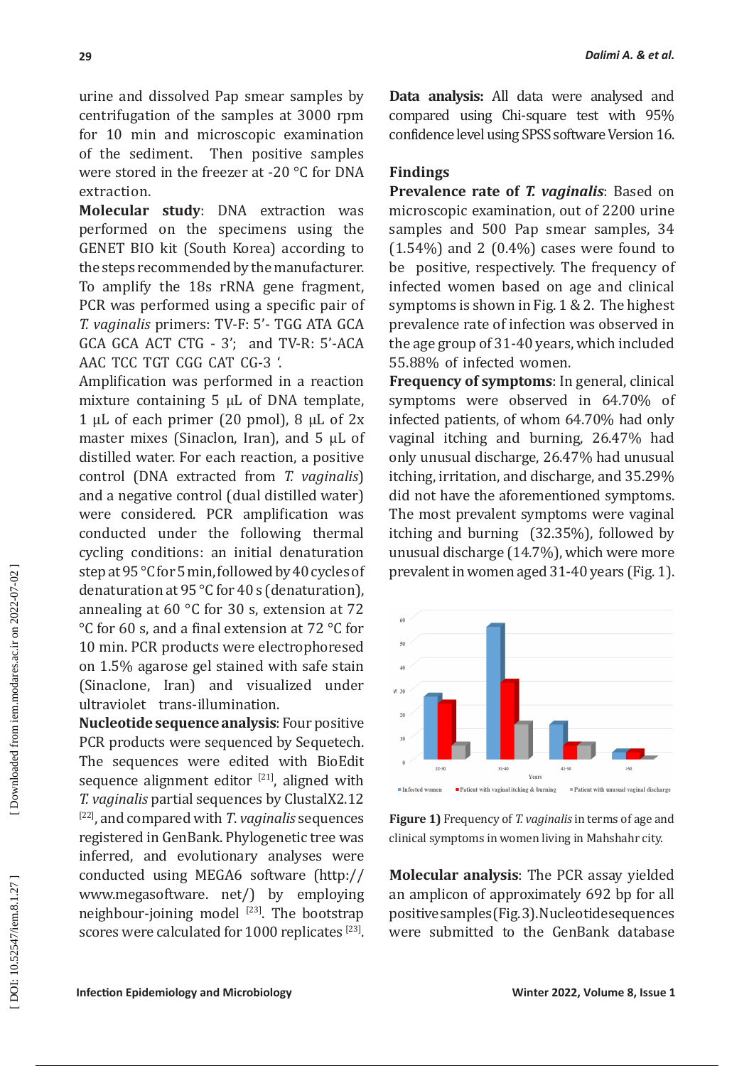urine and dissolved Pap smear samples by centrifugation of the samples at 3000 rpm for 10 min and microscopic examination of the sediment. Then positive samples were stored in the freezer at -20 °C for DNA extraction.

**Molecular study**: DNA extraction was performed on the specimens using the GENET BIO kit (South Korea) according to the steps recommended by the manufacturer. To amplify the 18s rRNA gene fragment, PCR was performed using a specific pair of *T. vaginalis* primers: TV-F: 5'- TGG ATA GCA GCA GCA ACT CTG - 3'; and TV-R: 5'-ACA AAC TCC TGT CGG CAT CG-3 '.

Amplification was performed in a reaction mixture containing 5 μL of DNA template, 1 μL of each primer (20 pmol),  $8$  μL of 2x master mixes (Sinaclon, Iran), and 5 μL of distilled water. For each reaction, a positive control (DNA extracted from *T. vaginalis*) and a negative control (dual distilled water) were considered. PCR amplification was conducted under the following thermal cycling conditions: an initial denaturation step at 95 °C for 5 min, followed by 40 cycles of denaturation at 95 °C for 40 s (denaturation), annealing at 60 °C for 30 s, extension at 72 °C for 60 s, and a final extension at 72 °C for 10 min. PCR products were electrophoresed on 1.5% agarose gel stained with safe stain (Sinaclone, Iran) and visualized under ultraviolet trans-illumination.

**Nucleotide sequence analysis**: Four positive PCR products were sequenced by Sequetech. The sequences were edited with BioEdit sequence alignment editor  $[21]$ , aligned with *T. vaginalis* partial sequences by ClustalX2.12 [22], and compared with *T*. *vaginalis* sequences registered in GenBank. Phylogenetic tree was inferred, and evolutionary analyses were conducted using MEGA6 software [\(http://](http://www.megasoftware) [www.megasoftware](http://www.megasoftware). net/) by employing neighbour-joining model  $[23]$ . The bootstrap scores were calculated for 1000 replicates <sup>[23]</sup>.

**Data analysis:** All data were analysed and compared using Chi-square test with 95% confidence level using SPSS software Version 16.

#### **Findings**

**Prevalence rate of** *T. vaginalis*: Based on microscopic examination, out of 2200 urine samples and 500 Pap smear samples, 34  $(1.54\%)$  and 2  $(0.4\%)$  cases were found to be positive, respectively. The frequency of infected women based on age and clinical symptoms is shown in Fig. 1 & 2. The highest prevalence rate of infection was observed in the age group of 31-40 years, which included 55.88% of infected women.

**Frequency of symptoms**: In general, clinical symptoms were observed in 64.70% of infected patients, of whom 64.70% had only vaginal itching and burning, 26.47% had only unusual discharge, 26.47% had unusual itching, irritation, and discharge, and 35.29% did not have the aforementioned symptoms. The most prevalent symptoms were vaginal itching and burning (32.35%), followed by unusual discharge (14.7%), which were more prevalent in women aged 31-40 years (Fig. 1).



**Figure 1)** Frequency of *T. vaginalis* in terms of age and clinical symptoms in women living in Mahshahr city.

**Molecular analysis**: The PCR assay yielded an amplicon of approximately 692 bp for all positive samples (Fig. 3). Nucleotide sequences were submitted to the GenBank database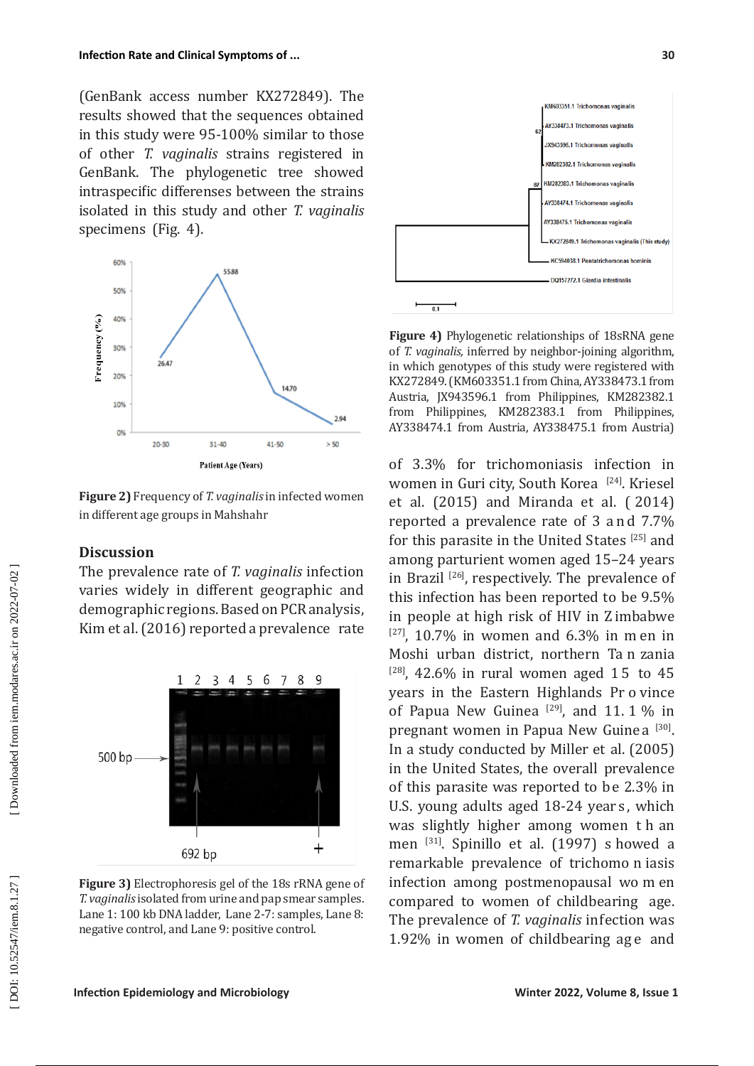(GenBank access number KX272849). The results showed that the sequences obtained in this study were 95-100% similar to those of other *T. vaginalis* strains registered in GenBank. The phylogenetic tree showed intraspecific differenses between the strains isolated in this study and other *T. vaginalis* specimens (Fig. 4).



**Figure 2)** Frequency of *T. vaginalis* in infected women in different age groups in Mahshahr

# **Discussion**

The prevalence rate of *T. vaginalis* infection varies widely in different geographic and demographic regions. Based on PCR analysis, Kim et al. (2016) reported a prevalence rate



**Figure 3)** Electrophoresis gel of the 18s rRNA gene of *T. vaginalis* isolated from urine and pap smear samples. Lane 1: 100 kb DNA ladder, Lane 2-7: samples, Lane 8: negative control, and Lane 9: positive control.



**Figure 4)** Phylogenetic relationships of 18sRNA gene of *T. vaginalis,* inferred by neighbor-joining algorithm, in which genotypes of this study were registered with KX272849. (KM603351.1 from China, AY338473.1 from Austria, JX943596.1 from Philippines, KM282382.1 from Philippines, KM282383.1 from Philippines, AY338474.1 from Austria, AY338475.1 from Austria)

of 3.3% for trichomoniasis infection in women in Guri city, South Korea [24]. Kriesel et al. (2015) and Miranda et al. ( 2014) reported a prevalence rate of 3 a n d 7.7% for this parasite in the United States [25] and among parturient women aged 15–24 years in Brazil [26], respectively. The prevalence of this infection has been reported to be 9.5% in people at high risk of HIV in Z imbabwe  $[27]$ , 10.7% in women and 6.3% in men in Moshi urban district, northern Ta n zania  $[28]$ , 42.6% in rural women aged 15 to 45 years in the Eastern Highlands Pr o vince of Papua New Guinea  $[29]$ , and 11.1% in pregnant women in Papua New Guinea<sup>[30]</sup>. In a study conducted by Miller et al. (2005) in the United States, the overall prevalence of this parasite was reported to be 2.3% in U.S. young adults aged 18-24 years, which was slightly higher among women t h an men [31]. Spinillo et al. (1997) s howed a remarkable prevalence of trichomo n iasis infection among postmenopausal wo m en compared to women of childbearing age. The prevalence of *T. vaginalis* infection was 1.92% in women of childbearing age and

DOI: 10.52547/iem.8.1.27]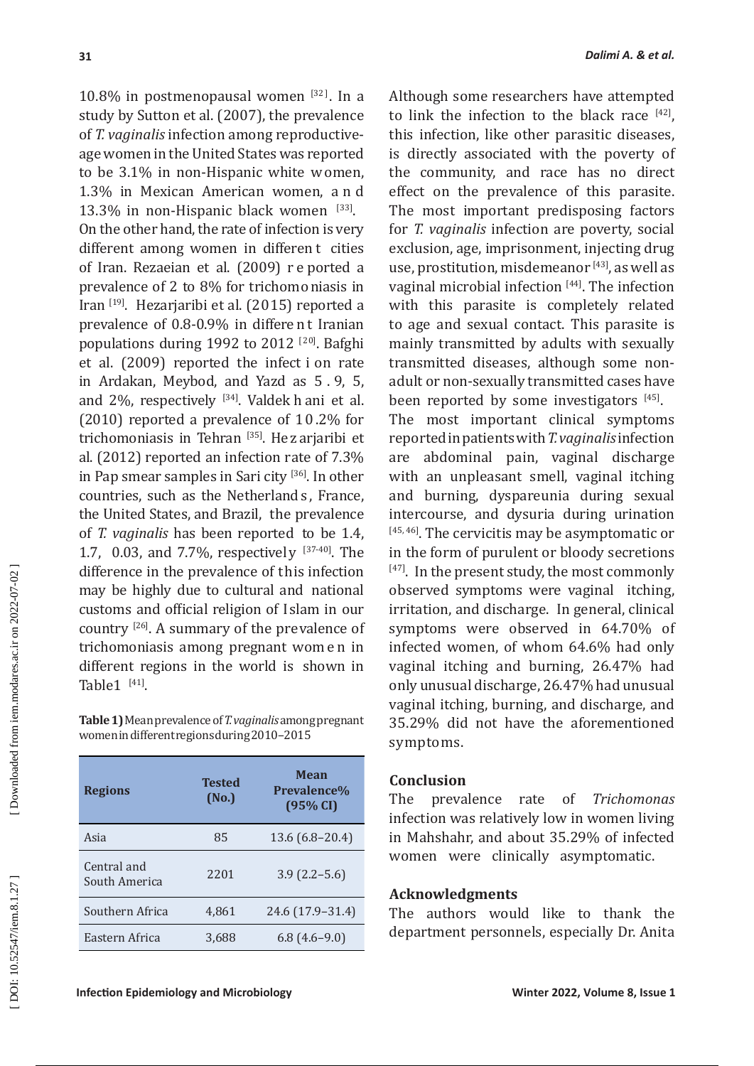10.8% in postmenopausal women  $[32]$ . In a study by Sutton et al. (2007), the prevalence of *T. vaginalis* infection among reproductiveage women in the United States was reported to be 3.1% in non-Hispanic white w omen, 1.3% in Mexican American women, a n d 13.3% in non-Hispanic black women [33]. On the other hand, the rate of infection is very different among women in differen t cities of Iran. Rezaeian et al. (2009) r e ported a prevalence of 2 to 8% for trichomoniasis in Iran [19]. Hezarjaribi et al. (2015) reported a prevalence of 0.8-0.9% in differe nt Iranian populations during 1992 to 2012 [20]. Bafghi et al. (2009) reported the infect i on rate in Ardakan, Meybod, and Yazd as 5 . 9, 5, and 2%, respectively [34]. Valdek h ani et al. (2010) reported a prevalence of 1 0 .2% for trichomoniasis in Tehran [35]. He z arjaribi et al. (2012) reported an infection rate of 7.3% in Pap smear samples in Sari city [36]. In other countries, such as the Netherland s, France, the United States, and Brazil, the prevalence of *T. vaginalis* has been reported to be 1.4, 1.7, 0.03, and 7.7%, respectively [37-40]. The difference in the prevalence of this infection may be highly due to cultural and national customs and official religion of Islam in our country [26]. A summary of the prevalence of trichomoniasis among pregnant wom e n in different regions in the world is shown in Table $1$ <sup>[41]</sup>.

**Table 1)** Mean prevalence of *T. vaginalis* among pregnant women in different regions during 2010–2015

| <b>Regions</b>               | <b>Tested</b><br>(No.) | <b>Mean</b><br>Prevalence%<br>(95% CI) |
|------------------------------|------------------------|----------------------------------------|
| Asia                         | 85                     | $13.6(6.8-20.4)$                       |
| Central and<br>South America | 2201                   | $3.9(2.2 - 5.6)$                       |
| Southern Africa              | 4.861                  | 24.6 (17.9-31.4)                       |
| Eastern Africa               | 3,688                  | $6.8(4.6-9.0)$                         |

Although some researchers have attempted to link the infection to the black race  $[42]$ , this infection, like other parasitic diseases, is directly associated with the poverty of the community, and race has no direct effect on the prevalence of this parasite. The most important predisposing factors for *T. vaginalis* infection are poverty, social exclusion, age, imprisonment, injecting drug use, prostitution, misdemeanor  $[43]$ , as well as vaginal microbial infection [44]. The infection with this parasite is completely related to age and sexual contact. This parasite is mainly transmitted by adults with sexually transmitted diseases, although some nonadult or non-sexually transmitted cases have been reported by some investigators [45]. The most important clinical symptoms

reported in patients with *T. vaginalis* infection are abdominal pain, vaginal discharge with an unpleasant smell, vaginal itching and burning, dyspareunia during sexual intercourse, and dysuria during urination [45, 46]. The cervicitis may be asymptomatic or in the form of purulent or bloody secretions  $[47]$ . In the present study, the most commonly observed symptoms were vaginal itching, irritation, and discharge. In general, clinical symptoms were observed in 64.70% of infected women, of whom 64.6% had only vaginal itching and burning, 26.47% had only unusual discharge, 26.47% had unusual vaginal itching, burning, and discharge, and 35.29% did not have the aforementioned symptoms.

# **Conclusion**

The prevalence rate of *Trichomonas* infection was relatively low in women living in Mahshahr, and about 35.29% of infected women were clinically asymptomatic.

# **Acknowledgments**

The authors would like to thank the department personnels, especially Dr. Anita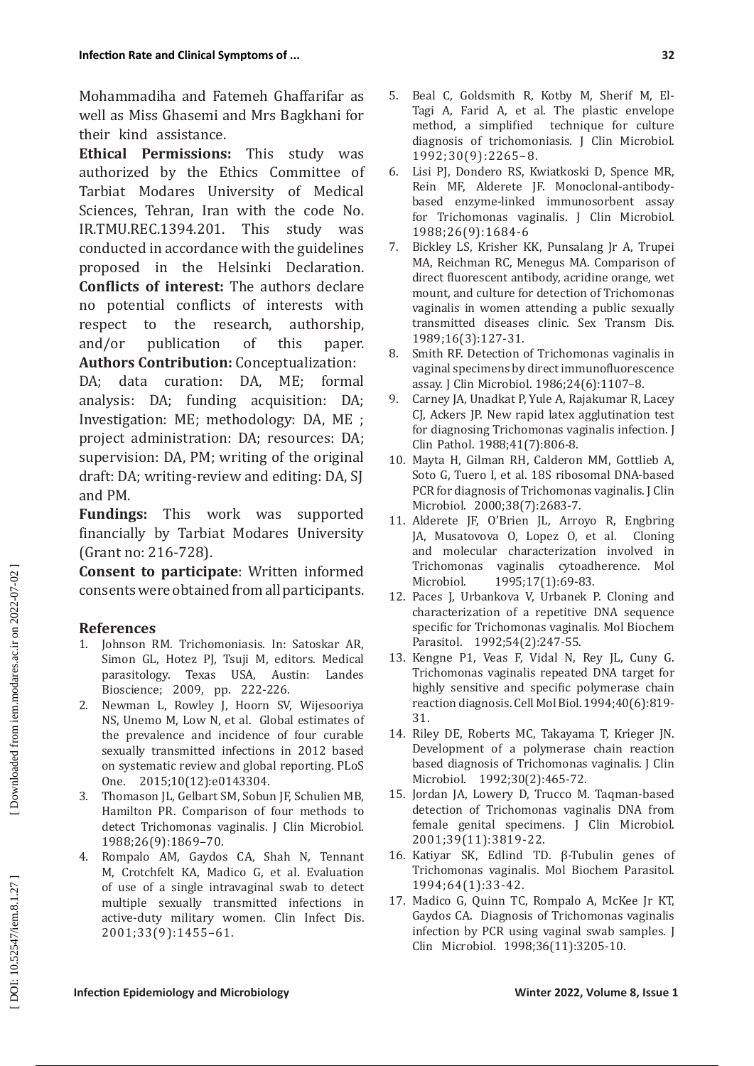Mohammadiha and Fatemeh Ghaffarifar as well as Miss Ghasemi and Mrs Bagkhani for their kind assistance.

**Ethical Permissions:** This study was authorized by the Ethics Committee of Tarbiat Modares University of Medical Sciences, Tehran, Iran with the code No. IR.TMU.REC.1394.201. This study was conducted in accordance with the guidelines proposed in the Helsinki Declaration. **Conflicts of interest:** The authors declare no potential conflicts of interests with<br>respect to the research, authorship, respect to the research,<br>and/or publication of publication of this paper. **Authors Contribution:** Conceptualization:

DA; data curation: DA, ME; formal analysis: DA; funding acquisition: DA; Investigation: ME; methodology: DA, ME ; project administration: DA; resources: DA; supervision: DA, PM; writing of the original draft: DA; writing-review and editing: DA, SJ and PM.

**Fundings:** This work was supported financially by Tarbiat Modares University (Grant no: 216-728).

**Consent to participate**: Written informed consents were obtained from all participants.

# **References**

- 1. Johnson RM. Trichomoniasis. In: Satoskar AR, Simon GL, Hotez PJ, Tsuji M, editors. Medical parasitology. Texas USA, Austin: Landes Bioscience; 2009, pp. 222-226.
- 2. Newman L, Rowley J, Hoorn SV, Wijesooriya NS, Unemo M, Low N, et al. Global estimates of the prevalence and incidence of four curable sexually transmitted infections in 2012 based on systematic review and global reporting. PLoS One. 2015;10(12):e0143304.
- 3. Thomason JL, Gelbart SM, Sobun JF, Schulien MB, Hamilton PR. Comparison of four methods to detect Trichomonas vaginalis. J Clin Microbiol. 1988;26(9):1869–70.
- 4. Rompalo AM, Gaydos CA, Shah N, Tennant M, Crotchfelt KA, Madico G, et al. Evaluation of use of a single intravaginal swab to detect multiple sexually transmitted infections in active-duty military women. Clin Infect Dis. 2001;33(9):1455–61.
- 5. Beal C, Goldsmith R, Kotby M, Sherif M, El-Tagi A, Farid A, et al. The plastic envelope method, a simplified technique for culture diagnosis of trichomoniasis. J Clin Microbiol. 1992;30(9):2265–8.
- 6. Lisi PJ, Dondero RS, Kwiatkoski D, Spence MR, Rein MF, Alderete JF. Monoclonal-antibodybased enzyme-linked immunosorbent assay for Trichomonas vaginalis. J Clin Microbiol. 1988;26(9):1684-6
- 7. Bickley LS, Krisher KK, Punsalang Jr A, Trupei MA, Reichman RC, Menegus MA. Comparison of direct fluorescent antibody, acridine orange, wet mount, and culture for detection of Trichomonas vaginalis in women attending a public sexually transmitted diseases clinic. Sex Transm Dis. 1989;16(3):127-31.
- 8. Smith RF. Detection of Trichomonas vaginalis in vaginal specimens by direct immunofluorescence assay. J Clin Microbiol. 1986;24(6):1107–8.
- 9. Carney JA, Unadkat P, Yule A, Rajakumar R, Lacey CJ, Ackers JP. New rapid latex agglutination test for diagnosing Trichomonas vaginalis infection. J Clin Pathol. 1988;41(7):806-8.
- 10. Mayta H, Gilman RH, Calderon MM, Gottlieb A, Soto G, Tuero I, et al. 18S ribosomal DNA-based PCR for diagnosis of Trichomonas vaginalis. J Clin Microbiol. 2000;38(7):2683-7.
- 11. Alderete JF, O'Brien JL, Arroyo R, Engbring JA, Musatovova O, Lopez O, et al. and molecular characterization involved in Trichomonas vaginalis cytoadherence. Mol<br>Microbiol. 1995;17(1):69-83. 1995;17(1):69-83.
- 12. Paces J, Urbankova V, Urbanek P. Cloning and characterization of a repetitive DNA sequence specific for Trichomonas vaginalis. Mol Biochem Parasitol. 1992;54(2):247-55.
- 13. Kengne P1, Veas F, Vidal N, Rey JL, Cuny G. Trichomonas vaginalis repeated DNA target for highly sensitive and specific polymerase chain reaction diagnosis. Cell Mol Biol. 1994;40(6):819- 31.
- 14. Riley DE, Roberts MC, Takayama T, Krieger JN. Development of a polymerase chain reaction based diagnosis of Trichomonas vaginalis. J Clin Microbiol. 1992;30(2):465-72.
- 15. Jordan JA, Lowery D, Trucco M. Taqman-based detection of Trichomonas vaginalis DNA from female genital specimens. J Clin Microbiol. 2001;39(11):3819-22.
- 16. Katiyar SK, Edlind TD. β-Tubulin genes of Trichomonas vaginalis. Mol Biochem Parasitol. 1994;64(1):33-42.
- 17. Madico G, Quinn TC, Rompalo A, McKee Jr KT, Gaydos CA. Diagnosis of Trichomonas vaginalis infection by PCR using vaginal swab samples. J Clin Microbiol. 1998;36(11):3205-10.

DOI: 10.52547/iem.8.1.27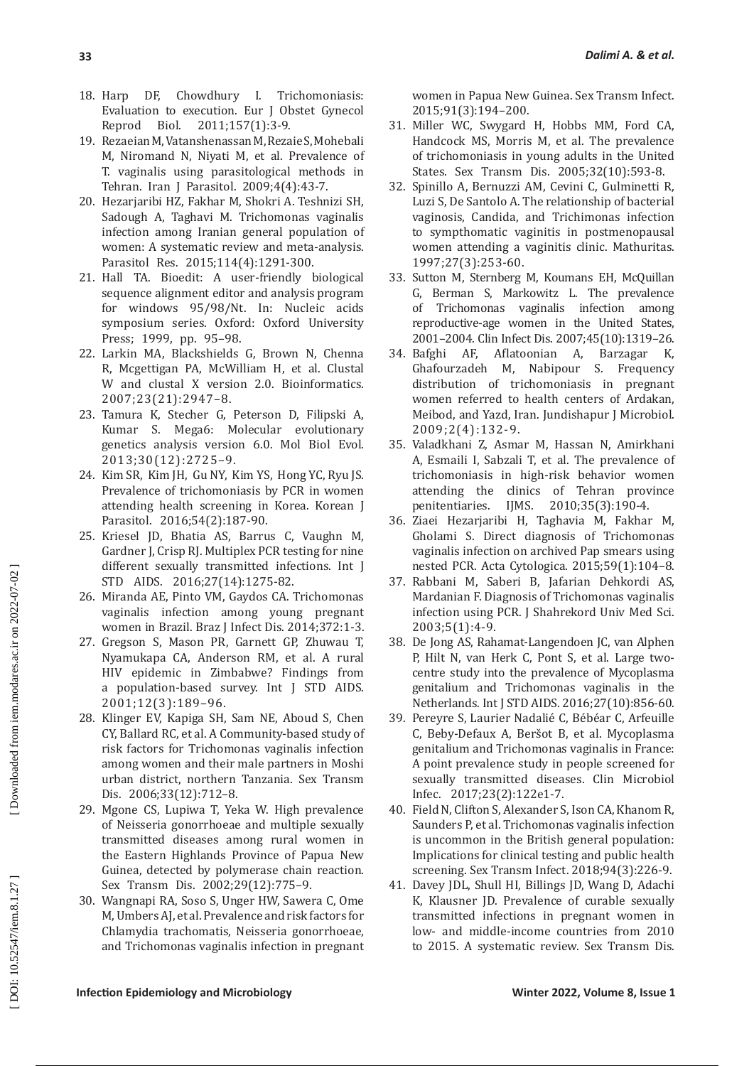- 18. Harp DF, Chowdhury I. Trichomoniasis: Evaluation to execution. Eur J Obstet Gynecol Reprod Biol. 2011;157(1):3-9.
- 19. Rezaeian M, Vatanshenassan M, Rezaie S, Mohebali M, Niromand N, Niyati M, et al. Prevalence of T. vaginalis using parasitological methods in Tehran. Iran J Parasitol. 2009;4(4):43-7.
- 20. Hezarjaribi HZ, Fakhar M, Shokri A. Teshnizi SH, Sadough A, Taghavi M. Trichomonas vaginalis infection among Iranian general population of women: A systematic review and meta-analysis. Parasitol Res. 2015;114(4):1291-300.
- 21. Hall TA. Bioedit: A user-friendly biological sequence alignment editor and analysis program for windows 95/98/Nt. In: Nucleic acids symposium series. Oxford: Oxford University Press; 1999, pp. 95–98.
- 22. Larkin MA, Blackshields G, Brown N, Chenna R, Mcgettigan PA, McWilliam H, et al. Clustal W and clustal X version 2.0. Bioinformatics. 2007;23(21):2947–8.
- 23. Tamura K, Stecher G, Peterson D, Filipski A, Kumar S. Mega6: Molecular evolutionary genetics analysis version 6.0. Mol Biol Evol. 2013;30(12):2725–9.
- 24. Kim SR, Kim JH, Gu NY, Kim YS, Hong YC, Ryu JS. Prevalence of trichomoniasis by PCR in women attending health screening in Korea. Korean J Parasitol. 2016;54(2):187-90.
- 25. Kriesel JD, Bhatia AS, Barrus C, Vaughn M, Gardner J, Crisp RJ. Multiplex PCR testing for nine different sexually transmitted infections. Int J STD AIDS. 2016;27(14):1275-82.
- 26. Miranda AE, Pinto VM, Gaydos CA. Trichomonas vaginalis infection among young pregnant women in Brazil. Braz J Infect Dis. 2014;372:1-3.
- 27. Gregson S, Mason PR, Garnett GP, Zhuwau T, Nyamukapa CA, Anderson RM, et al. A rural HIV epidemic in Zimbabwe? Findings from a population-based survey. Int J STD AIDS. 2001;12(3):189–96.
- 28. Klinger EV, Kapiga SH, Sam NE, Aboud S, Chen CY, Ballard RC, et al. A Community-based study of risk factors for Trichomonas vaginalis infection among women and their male partners in Moshi urban district, northern Tanzania. Sex Transm Dis. 2006;33(12):712–8.
- 29. Mgone CS, Lupiwa T, Yeka W. High prevalence of Neisseria gonorrhoeae and multiple sexually transmitted diseases among rural women in the Eastern Highlands Province of Papua New Guinea, detected by polymerase chain reaction. Sex Transm Dis. 2002;29(12):775–9.
- 30. Wangnapi RA, Soso S, Unger HW, Sawera C, Ome M, Umbers AJ, et al. Prevalence and risk factors for Chlamydia trachomatis, Neisseria gonorrhoeae, and Trichomonas vaginalis infection in pregnant

women in Papua New Guinea. Sex Transm Infect. 2015;91(3):194–200.

- 31. Miller WC, Swygard H, Hobbs MM, Ford CA, Handcock MS, Morris M, et al. The prevalence of trichomoniasis in young adults in the United States. Sex Transm Dis. 2005;32(10):593-8.
- 32. Spinillo A, Bernuzzi AM, Cevini C, Gulminetti R, Luzi S, De Santolo A. The relationship of bacterial vaginosis, Candida, and Trichimonas infection to sympthomatic vaginitis in postmenopausal women attending a vaginitis clinic. Mathuritas. 1997;27(3):253-60.
- 33. Sutton M, Sternberg M, Koumans EH, McQuillan G, Berman S, Markowitz L. The prevalence of Trichomonas vaginalis infection among reproductive-age women in the United States, 2001–2004. Clin Infect Dis. 2007;45(10):1319–26.
- 34. Bafghi AF, Aflatoonian A, Barzagar K, Ghafourzadeh M, Nabipour S. Frequency distribution of trichomoniasis in pregnant women referred to health centers of Ardakan, Meibod, and Yazd, Iran. Jundishapur J Microbiol. 2009;2(4):132-9.
- 35. Valadkhani Z, Asmar M, Hassan N, Amirkhani A, Esmaili I, Sabzali T, et al. The prevalence of trichomoniasis in high-risk behavior women<br>attending the clinics of Tehran province attending the clinics of Tehran province<br>penitentiaries. IJMS. 2010;35(3):190-4. 2010;35(3):190-4.
- 36. Ziaei Hezarjaribi H, Taghavia M, Fakhar M, Gholami S. Direct diagnosis of Trichomonas vaginalis infection on archived Pap smears using nested PCR. Acta Cytologica. 2015;59(1):104–8.
- 37. Rabbani M, Saberi B, Jafarian Dehkordi AS, Mardanian F. Diagnosis of Trichomonas vaginalis infection using PCR. J Shahrekord Univ Med Sci. 2003;5(1):4-9.
- 38. De Jong AS, Rahamat-Langendoen JC, van Alphen P, Hilt N, van Herk C, Pont S, et al. Large twocentre study into the prevalence of Mycoplasma genitalium and Trichomonas vaginalis in the Netherlands. Int J STD AIDS. 2016;27(10):856-60.
- 39. Pereyre S, Laurier Nadalié C, Bébéar C, Arfeuille C, Beby-Defaux A, Beršot B, et al. Mycoplasma genitalium and Trichomonas vaginalis in France: A point prevalence study in people screened for sexually transmitted diseases. Clin Microbiol Infec. 2017;23(2):122e1-7.
- 40. Field N, Clifton S, Alexander S, Ison CA, Khanom R, Saunders P, et al. Trichomonas vaginalis infection is uncommon in the British general population: Implications for clinical testing and public health screening. Sex Transm Infect. 2018;94(3):226-9.
- 41. Davey JDL, Shull HI, Billings JD, Wang D, Adachi K, Klausner JD. Prevalence of curable sexually transmitted infections in pregnant women in low- and middle-income countries from 2010 to 2015. A systematic review. Sex Transm Dis.